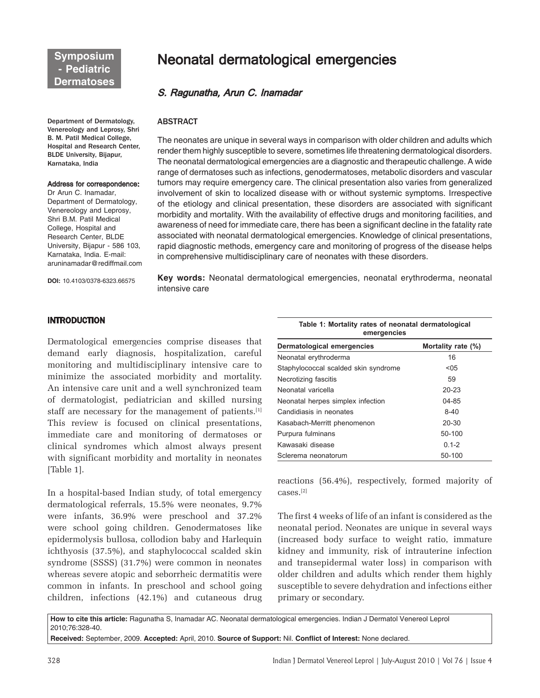Department of Dermatology, Venereology and Leprosy, Shri B. M. Patil Medical College, Hospital and Research Center, BLDE University, Bijapur, Karnataka, India

#### Address for correspondence:

Dr Arun C. Inamadar, Department of Dermatology, Venereology and Leprosy, Shri B.M. Patil Medical College, Hospital and Research Center, BLDE University, Bijapur - 586 103, Karnataka, India. E-mail: aruninamadar@rediffmail.com

**DOI:** 10.4103/0378-6323.66575

# Neonatal dermatological emergencies

# S. Ragunatha, Arun C. Inamadar

## ABSTRACT

The neonates are unique in several ways in comparison with older children and adults which render them highly susceptible to severe, sometimes life threatening dermatological disorders. The neonatal dermatological emergencies are a diagnostic and therapeutic challenge. A wide range of dermatoses such as infections, genodermatoses, metabolic disorders and vascular tumors may require emergency care. The clinical presentation also varies from generalized involvement of skin to localized disease with or without systemic symptoms. Irrespective of the etiology and clinical presentation, these disorders are associated with significant morbidity and mortality. With the availability of effective drugs and monitoring facilities, and awareness of need for immediate care, there has been a significant decline in the fatality rate associated with neonatal dermatological emergencies. Knowledge of clinical presentations, rapid diagnostic methods, emergency care and monitoring of progress of the disease helps in comprehensive multidisciplinary care of neonates with these disorders.

**Key words:** Neonatal dermatological emergencies, neonatal erythroderma, neonatal intensive care

# **INTRODUCTION**

Dermatological emergencies comprise diseases that demand early diagnosis, hospitalization, careful monitoring and multidisciplinary intensive care to minimize the associated morbidity and mortality. An intensive care unit and a well synchronized team of dermatologist, pediatrician and skilled nursing staff are necessary for the management of patients.<sup>[1]</sup> This review is focused on clinical presentations, immediate care and monitoring of dermatoses or clinical syndromes which almost always present with significant morbidity and mortality in neonates [Table 1].

In a hospital-based Indian study, of total emergency dermatological referrals, 15.5% were neonates, 9.7% were infants, 36.9% were preschool and 37.2% were school going children. Genodermatoses like epidermolysis bullosa, collodion baby and Harlequin ichthyosis (37.5%), and staphylococcal scalded skin syndrome (SSSS) (31.7%) were common in neonates whereas severe atopic and seborrheic dermatitis were common in infants. In preschool and school going children, infections (42.1%) and cutaneous drug

|             | Table 1: Mortality rates of neonatal dermatological |  |  |  |
|-------------|-----------------------------------------------------|--|--|--|
| emergencies |                                                     |  |  |  |

| Dermatological emergencies           | Mortality rate (%) |  |  |
|--------------------------------------|--------------------|--|--|
| Neonatal erythroderma                | 16                 |  |  |
| Staphylococcal scalded skin syndrome | $05$               |  |  |
| Necrotizing fascitis                 | 59                 |  |  |
| Neonatal varicella                   | $20 - 23$          |  |  |
| Neonatal herpes simplex infection    | 04-85              |  |  |
| Candidiasis in neonates              | $8 - 40$           |  |  |
| Kasabach-Merritt phenomenon          | $20 - 30$          |  |  |
| Purpura fulminans                    | 50-100             |  |  |
| Kawasaki disease                     | $0.1 - 2$          |  |  |
| Sclerema neonatorum                  | 50-100             |  |  |

reactions (56.4%), respectively, formed majority of cases.[2]

The first 4 weeks of life of an infant is considered as the neonatal period. Neonates are unique in several ways (increased body surface to weight ratio, immature kidney and immunity, risk of intrauterine infection and transepidermal water loss) in comparison with older children and adults which render them highly susceptible to severe dehydration and infections either primary or secondary.

**How to cite this article:** Ragunatha S, Inamadar AC. Neonatal dermatological emergencies. Indian J Dermatol Venereol Leprol 2010;76:328-40.

**Received:** September, 2009. **Accepted:** April, 2010. **Source of Support:** Nil. **Conflict of Interest:** None declared.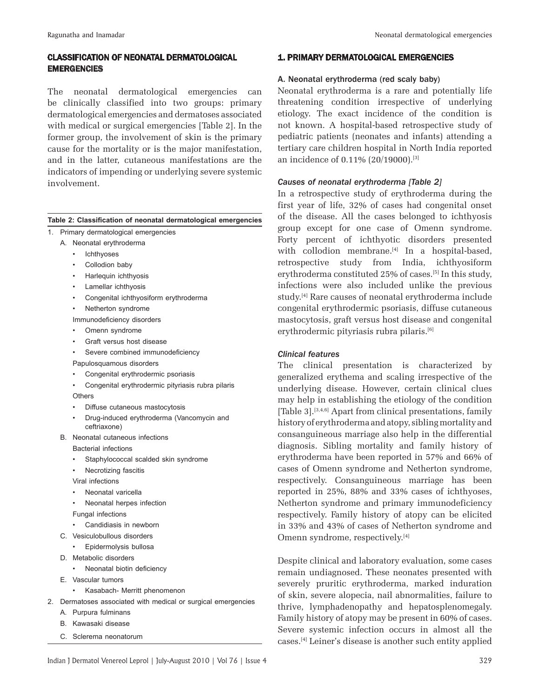# CLASSIFICATION OF NEONATAL DERMATOLOGICAL **EMERGENCIES**

The neonatal dermatological emergencies can be clinically classified into two groups: primary dermatological emergencies and dermatoses associated with medical or surgical emergencies [Table 2]. In the former group, the involvement of skin is the primary cause for the mortality or is the major manifestation, and in the latter, cutaneous manifestations are the indicators of impending or underlying severe systemic involvement.

#### **Table 2: Classification of neonatal dermatological emergencies**

- 1. Primary dermatological emergencies
	- A. Neonatal erythroderma
		- Ichthyoses
		- Collodion baby
		- Harlequin ichthyosis
		- Lamellar ichthyosis
		- Congenital ichthyosiform erythroderma
		- Netherton syndrome
		- Immunodeficiency disorders
		- Omenn syndrome
		- Graft versus host disease
		- Severe combined immunodeficiency
		- Papulosquamous disorders
		- Congenital erythrodermic psoriasis
		- Congenital erythrodermic pityriasis rubra pilaris **Others**
		- Diffuse cutaneous mastocytosis
		- Drug-induced erythroderma (Vancomycin and ceftriaxone)
	- B. Neonatal cutaneous infections
		- Bacterial infections
		- Staphylococcal scalded skin syndrome
		- Necrotizing fascitis
		- Viral infections
		- Neonatal varicella
		- Neonatal herpes infection

Fungal infections

- Candidiasis in newborn
- C. Vesiculobullous disorders
	- Epidermolysis bullosa
- D. Metabolic disorders
	- Neonatal biotin deficiency
- E. Vascular tumors
	- Kasabach- Merritt phenomenon
- 2. Dermatoses associated with medical or surgical emergencies
	- A. Purpura fulminans
	- B. Kawasaki disease
	- C. Sclerema neonatorum

#### 1. PRIMARY DERMATOLOGICAL EMERGENCIES

## A. Neonatal erythroderma (red scaly baby)

Neonatal erythroderma is a rare and potentially life threatening condition irrespective of underlying etiology. The exact incidence of the condition is not known. A hospital-based retrospective study of pediatric patients (neonates and infants) attending a tertiary care children hospital in North India reported an incidence of 0.11% (20/19000).[3]

#### *Causes of neonatal erythroderma [Table 2]*

In a retrospective study of erythroderma during the first year of life, 32% of cases had congenital onset of the disease. All the cases belonged to ichthyosis group except for one case of Omenn syndrome. Forty percent of ichthyotic disorders presented with collodion membrane.<sup>[4]</sup> In a hospital-based, retrospective study from India, ichthyosiform erythroderma constituted 25% of cases.<sup>[5]</sup> In this study, infections were also included unlike the previous study.[4] Rare causes of neonatal erythroderma include congenital erythrodermic psoriasis, diffuse cutaneous mastocytosis, graft versus host disease and congenital erythrodermic pityriasis rubra pilaris.<sup>[6]</sup>

#### *Clinical features*

The clinical presentation is characterized by generalized erythema and scaling irrespective of the underlying disease. However, certain clinical clues may help in establishing the etiology of the condition [Table 3].<sup>[3,4,6]</sup> Apart from clinical presentations, family history of erythroderma and atopy, sibling mortality and consanguineous marriage also help in the differential diagnosis. Sibling mortality and family history of erythroderma have been reported in 57% and 66% of cases of Omenn syndrome and Netherton syndrome, respectively. Consanguineous marriage has been reported in 25%, 88% and 33% cases of ichthyoses, Netherton syndrome and primary immunodeficiency respectively. Family history of atopy can be elicited in 33% and 43% of cases of Netherton syndrome and Omenn syndrome, respectively.[4]

Despite clinical and laboratory evaluation, some cases remain undiagnosed. These neonates presented with severely pruritic erythroderma, marked induration of skin, severe alopecia, nail abnormalities, failure to thrive, lymphadenopathy and hepatosplenomegaly. Family history of atopy may be present in 60% of cases. Severe systemic infection occurs in almost all the cases.[4] Leiner's disease is another such entity applied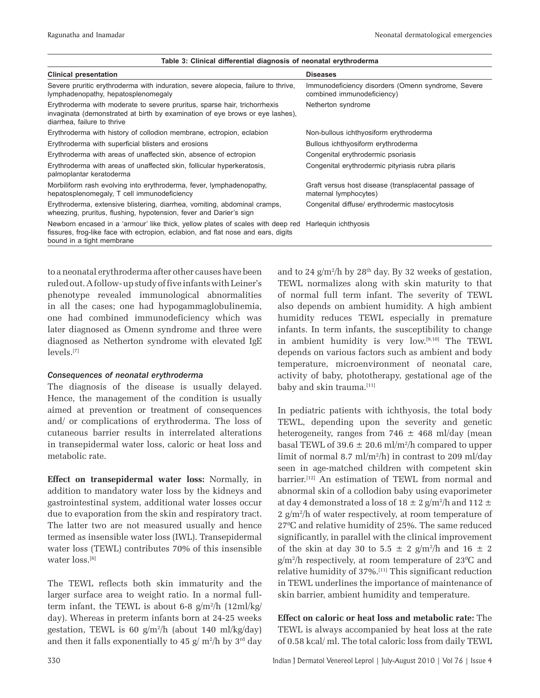| <u>rabic J. Olimcar unicrentiar ulayirosis or heonatar erytinouerina</u>                                                                                                                          |                                                                                  |
|---------------------------------------------------------------------------------------------------------------------------------------------------------------------------------------------------|----------------------------------------------------------------------------------|
| <b>Clinical presentation</b>                                                                                                                                                                      | <b>Diseases</b>                                                                  |
| Severe pruritic erythroderma with induration, severe alopecia, failure to thrive,<br>lymphadenopathy, hepatosplenomegaly                                                                          | Immunodeficiency disorders (Omenn syndrome, Severe<br>combined immunodeficiency) |
| Erythroderma with moderate to severe pruritus, sparse hair, trichorrhexis<br>invaginata (demonstrated at birth by examination of eye brows or eye lashes),<br>diarrhea, failure to thrive         | Netherton syndrome                                                               |
| Erythroderma with history of collodion membrane, ectropion, eclabion                                                                                                                              | Non-bullous ichthyosiform erythroderma                                           |
| Erythroderma with superficial blisters and erosions                                                                                                                                               | Bullous ichthyosiform erythroderma                                               |
| Erythroderma with areas of unaffected skin, absence of ectropion                                                                                                                                  | Congenital erythrodermic psoriasis                                               |
| Erythroderma with areas of unaffected skin, follicular hyperkeratosis,<br>palmoplantar keratoderma                                                                                                | Congenital erythrodermic pityriasis rubra pilaris                                |
| Morbiliform rash evolving into erythroderma, fever, lymphadenopathy,<br>hepatosplenomegaly, T cell immunodeficiency                                                                               | Graft versus host disease (transplacental passage of<br>maternal lymphocytes)    |
| Erythroderma, extensive blistering, diarrhea, vomiting, abdominal cramps,<br>wheezing, pruritus, flushing, hypotension, fever and Darier's sign                                                   | Congenital diffuse/ erythrodermic mastocytosis                                   |
| Newborn encased in a 'armour' like thick, yellow plates of scales with deep red<br>fissures, frog-like face with ectropion, eclabion, and flat nose and ears, digits<br>bound in a tight membrane | Harleguin ichthyosis                                                             |

#### **Table 3: Clinical differential diagnosis of neonatal erythroderma**

to a neonatal erythroderma after other causes have been ruled out. A follow- up study of five infants with Leiner's phenotype revealed immunological abnormalities in all the cases; one had hypogammaglobulinemia, one had combined immunodeficiency which was later diagnosed as Omenn syndrome and three were diagnosed as Netherton syndrome with elevated IgE levels.[7]

#### *Consequences of neonatal erythroderma*

The diagnosis of the disease is usually delayed. Hence, the management of the condition is usually aimed at prevention or treatment of consequences and/ or complications of erythroderma. The loss of cutaneous barrier results in interrelated alterations in transepidermal water loss, caloric or heat loss and metabolic rate.

**Effect on transepidermal water loss:** Normally, in addition to mandatory water loss by the kidneys and gastrointestinal system, additional water losses occur due to evaporation from the skin and respiratory tract. The latter two are not measured usually and hence termed as insensible water loss (IWL). Transepidermal water loss (TEWL) contributes 70% of this insensible water loss.[8]

The TEWL reflects both skin immaturity and the larger surface area to weight ratio. In a normal fullterm infant, the TEWL is about 6-8  $g/m^2/h$  (12ml/kg/ day). Whereas in preterm infants born at 24-25 weeks gestation, TEWL is  $60 \text{ g/m}^2/h$  (about 140 ml/kg/day) and then it falls exponentially to 45  $g/m^2/h$  by 3<sup>rd</sup> day

and to 24  $g/m^2/h$  by 28<sup>th</sup> day. By 32 weeks of gestation, TEWL normalizes along with skin maturity to that of normal full term infant. The severity of TEWL also depends on ambient humidity. A high ambient humidity reduces TEWL especially in premature infants. In term infants, the susceptibility to change in ambient humidity is very low.[9,10] The TEWL depends on various factors such as ambient and body temperature, microenvironment of neonatal care, activity of baby, phototherapy, gestational age of the baby and skin trauma.<sup>[11]</sup>

In pediatric patients with ichthyosis, the total body TEWL, depending upon the severity and genetic heterogeneity, ranges from  $746 \pm 468$  ml/day (mean basal TEWL of 39.6  $\pm$  20.6 ml/m<sup>2</sup>/h compared to upper limit of normal 8.7 ml/m2 /h) in contrast to 209 ml/day seen in age-matched children with competent skin barrier.<sup>[12]</sup> An estimation of TEWL from normal and abnormal skin of a collodion baby using evaporimeter at day 4 demonstrated a loss of 18  $\pm$  2 g/m²/h and 112  $\pm$ 2 g/m2 /h of water respectively, at room temperature of 270 C and relative humidity of 25%. The same reduced significantly, in parallel with the clinical improvement of the skin at day 30 to 5.5  $\pm$  2 g/m<sup>2</sup>/h and 16  $\pm$  2  $g/m^2/h$  respectively, at room temperature of 23 °C and relative humidity of 37%.[11] This significant reduction in TEWL underlines the importance of maintenance of skin barrier, ambient humidity and temperature.

**Effect on caloric or heat loss and metabolic rate:** The TEWL is always accompanied by heat loss at the rate of 0.58 kcal/ ml. The total caloric loss from daily TEWL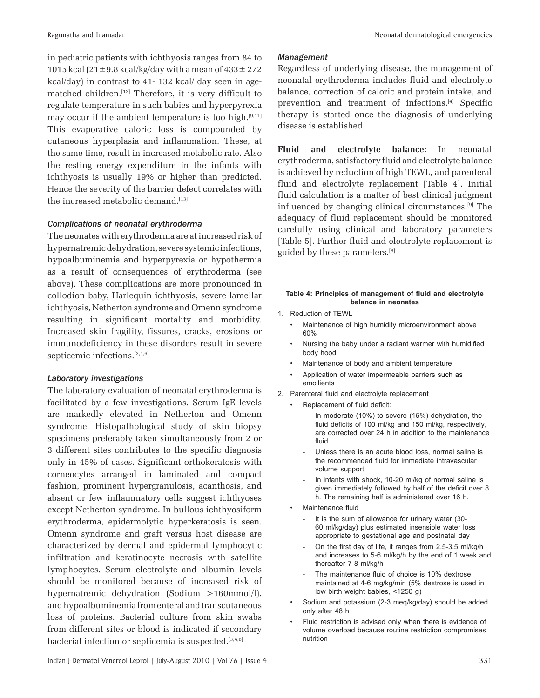in pediatric patients with ichthyosis ranges from 84 to 1015 kcal (21 $\pm$ 9.8 kcal/kg/day with a mean of 433 $\pm$  272 kcal/day) in contrast to 41- 132 kcal/ day seen in agematched children.[12] Therefore, it is very difficult to regulate temperature in such babies and hyperpyrexia may occur if the ambient temperature is too high. $[9,11]$ This evaporative caloric loss is compounded by cutaneous hyperplasia and inflammation. These, at the same time, result in increased metabolic rate. Also the resting energy expenditure in the infants with ichthyosis is usually 19% or higher than predicted. Hence the severity of the barrier defect correlates with the increased metabolic demand.[13]

#### *Complications of neonatal erythroderma*

The neonates with erythroderma are at increased risk of hypernatremic dehydration, severe systemic infections, hypoalbuminemia and hyperpyrexia or hypothermia as a result of consequences of erythroderma (see above). These complications are more pronounced in collodion baby, Harlequin ichthyosis, severe lamellar ichthyosis, Netherton syndrome and Omenn syndrome resulting in significant mortality and morbidity. Increased skin fragility, fissures, cracks, erosions or immunodeficiency in these disorders result in severe septicemic infections.<sup>[3,4,6]</sup>

#### *Laboratory investigations*

The laboratory evaluation of neonatal erythroderma is facilitated by a few investigations. Serum IgE levels are markedly elevated in Netherton and Omenn syndrome. Histopathological study of skin biopsy specimens preferably taken simultaneously from 2 or 3 different sites contributes to the specific diagnosis only in 45% of cases. Significant orthokeratosis with corneocytes arranged in laminated and compact fashion, prominent hypergranulosis, acanthosis, and absent or few inflammatory cells suggest ichthyoses except Netherton syndrome. In bullous ichthyosiform erythroderma, epidermolytic hyperkeratosis is seen. Omenn syndrome and graft versus host disease are characterized by dermal and epidermal lymphocytic infiltration and keratinocyte necrosis with satellite lymphocytes. Serum electrolyte and albumin levels should be monitored because of increased risk of hypernatremic dehydration (Sodium >160mmol/l), and hypoalbuminemia from enteral and transcutaneous loss of proteins. Bacterial culture from skin swabs from different sites or blood is indicated if secondary bacterial infection or septicemia is suspected.<sup>[3,4,6]</sup>

# *Management*

Regardless of underlying disease, the management of neonatal erythroderma includes fluid and electrolyte balance, correction of caloric and protein intake, and prevention and treatment of infections.[4] Specific therapy is started once the diagnosis of underlying disease is established.

**Fluid and electrolyte balance:** In neonatal erythroderma, satisfactory fluid and electrolyte balance is achieved by reduction of high TEWL, and parenteral fluid and electrolyte replacement [Table 4]. Initial fluid calculation is a matter of best clinical judgment influenced by changing clinical circumstances.[9] The adequacy of fluid replacement should be monitored carefully using clinical and laboratory parameters [Table 5]. Further fluid and electrolyte replacement is guided by these parameters.[8]

#### **Table 4: Principles of management of fluid and electrolyte balance in neonates**

- Reduction of TEWL
- Maintenance of high humidity microenvironment above 60%
- Nursing the baby under a radiant warmer with humidified body hood
- Maintenance of body and ambient temperature
- Application of water impermeable barriers such as emollients
- 2. Parenteral fluid and electrolyte replacement
	- Replacement of fluid deficit:
		- In moderate (10%) to severe (15%) dehydration, the fluid deficits of 100 ml/kg and 150 ml/kg, respectively, are corrected over 24 h in addition to the maintenance fluid
		- Unless there is an acute blood loss, normal saline is the recommended fluid for immediate intravascular volume support
		- In infants with shock, 10-20 ml/kg of normal saline is given immediately followed by half of the deficit over 8 h. The remaining half is administered over 16 h.
	- Maintenance fluid
		- It is the sum of allowance for urinary water (30-60 ml/kg/day) plus estimated insensible water loss appropriate to gestational age and postnatal day
		- On the first day of life, it ranges from 2.5-3.5 ml/kg/h and increases to 5-6 ml/kg/h by the end of 1 week and thereafter 7-8 ml/kg/h
		- The maintenance fluid of choice is 10% dextrose maintained at 4-6 mg/kg/min (5% dextrose is used in low birth weight babies, <1250 g)
	- Sodium and potassium (2-3 meq/kg/day) should be added only after 48 h
	- Fluid restriction is advised only when there is evidence of volume overload because routine restriction compromises nutrition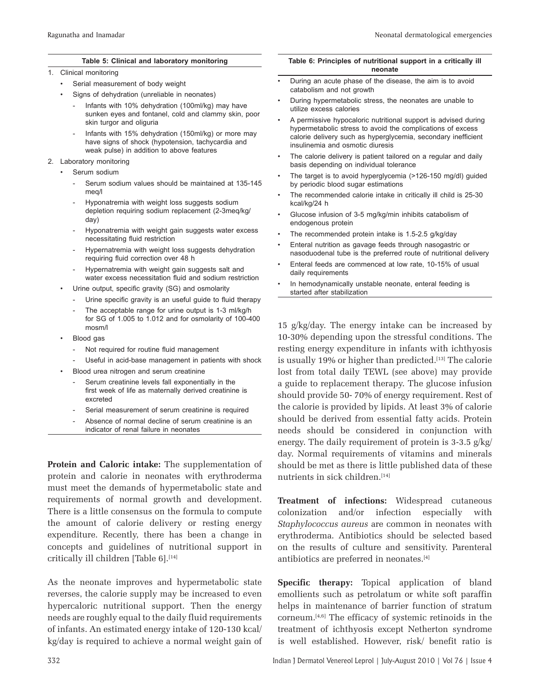#### **Table 5: Clinical and laboratory monitoring**

#### 1. Clinical monitoring

- Serial measurement of body weight
- Signs of dehydration (unreliable in neonates)
	- Infants with 10% dehydration (100ml/kg) may have sunken eyes and fontanel, cold and clammy skin, poor skin turgor and oliguria
	- Infants with 15% dehydration (150ml/kg) or more may have signs of shock (hypotension, tachycardia and weak pulse) in addition to above features
- 2. Laboratory monitoring
	- Serum sodium
		- Serum sodium values should be maintained at 135-145 meg/l
		- Hyponatremia with weight loss suggests sodium depletion requiring sodium replacement (2-3meq/kg/ day)
		- Hyponatremia with weight gain suggests water excess necessitating fluid restriction
		- Hypernatremia with weight loss suggests dehydration requiring fluid correction over 48 h
		- Hypernatremia with weight gain suggests salt and water excess necessitation fluid and sodium restriction
	- Urine output, specific gravity (SG) and osmolarity
		- Urine specific gravity is an useful guide to fluid therapy
		- The acceptable range for urine output is 1-3 ml/kg/h for SG of 1.005 to 1.012 and for osmolarity of 100-400 mosm/l
	- Blood gas
		- Not required for routine fluid management
		- Useful in acid-base management in patients with shock
		- Blood urea nitrogen and serum creatinine
			- Serum creatinine levels fall exponentially in the first week of life as maternally derived creatinine is excreted
			- Serial measurement of serum creatinine is required
			- Absence of normal decline of serum creatinine is an indicator of renal failure in neonates

**Protein and Caloric intake:** The supplementation of protein and calorie in neonates with erythroderma must meet the demands of hypermetabolic state and requirements of normal growth and development. There is a little consensus on the formula to compute the amount of calorie delivery or resting energy expenditure. Recently, there has been a change in concepts and guidelines of nutritional support in critically ill children [Table 6].<sup>[14]</sup>

As the neonate improves and hypermetabolic state reverses, the calorie supply may be increased to even hypercaloric nutritional support. Then the energy needs are roughly equal to the daily fluid requirements of infants. An estimated energy intake of 120-130 kcal/ kg/day is required to achieve a normal weight gain of

#### **Table 6: Principles of nutritional support in a critically ill neonate**

- During an acute phase of the disease, the aim is to avoid catabolism and not growth
- During hypermetabolic stress, the neonates are unable to utilize excess calories
- A permissive hypocaloric nutritional support is advised during hypermetabolic stress to avoid the complications of excess calorie delivery such as hyperglycemia, secondary inefficient insulinemia and osmotic diuresis
- The calorie delivery is patient tailored on a regular and daily basis depending on individual tolerance
- The target is to avoid hyperglycemia (>126-150 mg/dl) guided by periodic blood sugar estimations
- The recommended calorie intake in critically ill child is 25-30 kcal/kg/24 h
- Glucose infusion of 3-5 mg/kg/min inhibits catabolism of endogenous protein
- The recommended protein intake is 1.5-2.5 g/kg/day
- Enteral nutrition as gavage feeds through nasogastric or nasoduodenal tube is the preferred route of nutritional delivery
- Enteral feeds are commenced at low rate, 10-15% of usual daily requirements
- In hemodynamically unstable neonate, enteral feeding is started after stabilization

15 g/kg/day. The energy intake can be increased by 10-30% depending upon the stressful conditions. The resting energy expenditure in infants with ichthyosis is usually 19% or higher than predicted.<sup>[13]</sup> The calorie lost from total daily TEWL (see above) may provide a guide to replacement therapy. The glucose infusion should provide 50- 70% of energy requirement. Rest of the calorie is provided by lipids. At least 3% of calorie should be derived from essential fatty acids. Protein needs should be considered in conjunction with energy. The daily requirement of protein is 3-3.5 g/kg/ day. Normal requirements of vitamins and minerals should be met as there is little published data of these nutrients in sick children.<sup>[14]</sup>

**Treatment of infections:** Widespread cutaneous colonization and/or infection especially with *Staphylococcus aureus* are common in neonates with erythroderma. Antibiotics should be selected based on the results of culture and sensitivity. Parenteral antibiotics are preferred in neonates.[4]

**Specific therapy:** Topical application of bland emollients such as petrolatum or white soft paraffin helps in maintenance of barrier function of stratum corneum.[4,6] The efficacy of systemic retinoids in the treatment of ichthyosis except Netherton syndrome is well established. However, risk/ benefit ratio is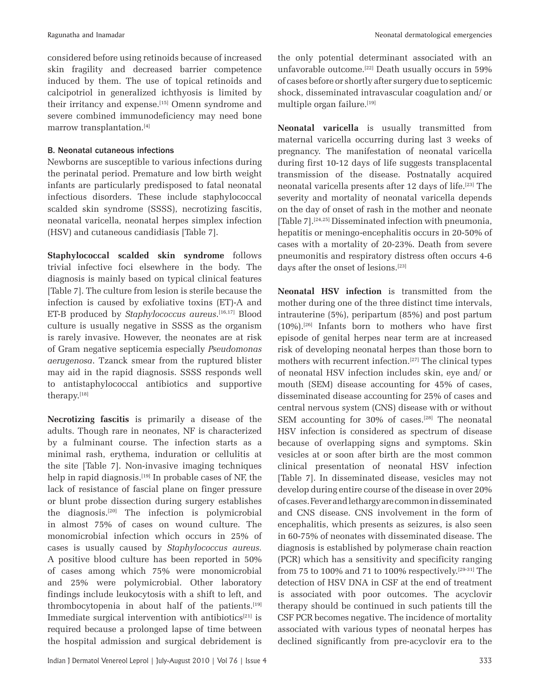considered before using retinoids because of increased skin fragility and decreased barrier competence induced by them. The use of topical retinoids and calcipotriol in generalized ichthyosis is limited by their irritancy and expense.[15] Omenn syndrome and severe combined immunodeficiency may need bone marrow transplantation.[4]

## B. Neonatal cutaneous infections

Newborns are susceptible to various infections during the perinatal period. Premature and low birth weight infants are particularly predisposed to fatal neonatal infectious disorders. These include staphylococcal scalded skin syndrome (SSSS), necrotizing fascitis, neonatal varicella, neonatal herpes simplex infection (HSV) and cutaneous candidiasis [Table 7].

**Staphylococcal scalded skin syndrome** follows trivial infective foci elsewhere in the body. The diagnosis is mainly based on typical clinical features [Table 7]. The culture from lesion is sterile because the infection is caused by exfoliative toxins (ET)-A and ET-B produced by *Staphylococcus aureus*. [16,17] Blood culture is usually negative in SSSS as the organism is rarely invasive. However, the neonates are at risk of Gram negative septicemia especially *Pseudomonas aerugenosa*. Tzanck smear from the ruptured blister may aid in the rapid diagnosis. SSSS responds well to antistaphylococcal antibiotics and supportive therapy.[18]

**Necrotizing fascitis** is primarily a disease of the adults. Though rare in neonates, NF is characterized by a fulminant course. The infection starts as a minimal rash, erythema, induration or cellulitis at the site [Table 7]. Non-invasive imaging techniques help in rapid diagnosis.<sup>[19]</sup> In probable cases of NF, the lack of resistance of fascial plane on finger pressure or blunt probe dissection during surgery establishes the diagnosis.[20] The infection is polymicrobial in almost 75% of cases on wound culture. The monomicrobial infection which occurs in 25% of cases is usually caused by *Staphylococcus aureus.*  A positive blood culture has been reported in 50% of cases among which 75% were monomicrobial and 25% were polymicrobial. Other laboratory findings include leukocytosis with a shift to left, and thrombocytopenia in about half of the patients.<sup>[19]</sup> Immediate surgical intervention with antibiotics $[21]$  is required because a prolonged lapse of time between the hospital admission and surgical debridement is the only potential determinant associated with an unfavorable outcome.<sup>[22]</sup> Death usually occurs in 59% of cases before or shortly after surgery due to septicemic shock, disseminated intravascular coagulation and/ or multiple organ failure.<sup>[19]</sup>

**Neonatal varicella** is usually transmitted from maternal varicella occurring during last 3 weeks of pregnancy. The manifestation of neonatal varicella during first 10-12 days of life suggests transplacental transmission of the disease. Postnatally acquired neonatal varicella presents after 12 days of life.[23] The severity and mortality of neonatal varicella depends on the day of onset of rash in the mother and neonate [Table 7].[24,25] Disseminated infection with pneumonia, hepatitis or meningo-encephalitis occurs in 20-50% of cases with a mortality of 20-23%. Death from severe pneumonitis and respiratory distress often occurs 4-6 days after the onset of lesions.<sup>[23]</sup>

**Neonatal HSV infection** is transmitted from the mother during one of the three distinct time intervals, intrauterine (5%), peripartum (85%) and post partum  $(10\%)$ .<sup>[26]</sup> Infants born to mothers who have first episode of genital herpes near term are at increased risk of developing neonatal herpes than those born to mothers with recurrent infection.[27] The clinical types of neonatal HSV infection includes skin, eye and/ or mouth (SEM) disease accounting for 45% of cases, disseminated disease accounting for 25% of cases and central nervous system (CNS) disease with or without SEM accounting for  $30\%$  of cases.<sup>[28]</sup> The neonatal HSV infection is considered as spectrum of disease because of overlapping signs and symptoms. Skin vesicles at or soon after birth are the most common clinical presentation of neonatal HSV infection [Table 7]. In disseminated disease, vesicles may not develop during entire course of the disease in over 20% of cases. Fever and lethargy are common in disseminated and CNS disease. CNS involvement in the form of encephalitis, which presents as seizures, is also seen in 60-75% of neonates with disseminated disease. The diagnosis is established by polymerase chain reaction (PCR) which has a sensitivity and specificity ranging from 75 to 100% and 71 to 100% respectively.<sup>[29-31]</sup> The detection of HSV DNA in CSF at the end of treatment is associated with poor outcomes. The acyclovir therapy should be continued in such patients till the CSF PCR becomes negative. The incidence of mortality associated with various types of neonatal herpes has declined significantly from pre-acyclovir era to the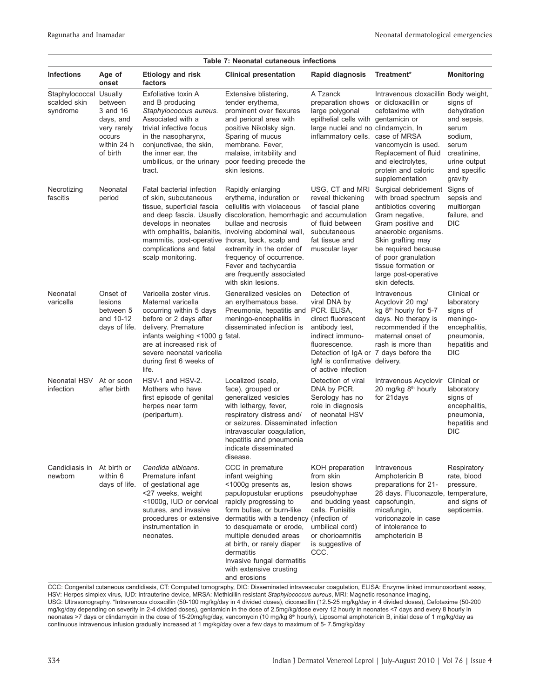|                                                    |                                                                                      |                                                                                                                                                                                                                                                           | Table 7: Neonatal cutaneous infections                                                                                                                                                                                                                                                                                                                                  |                                                                                                                                                                                                                           |                                                                                                                                                                                                                                                                       |                                                                                                                               |
|----------------------------------------------------|--------------------------------------------------------------------------------------|-----------------------------------------------------------------------------------------------------------------------------------------------------------------------------------------------------------------------------------------------------------|-------------------------------------------------------------------------------------------------------------------------------------------------------------------------------------------------------------------------------------------------------------------------------------------------------------------------------------------------------------------------|---------------------------------------------------------------------------------------------------------------------------------------------------------------------------------------------------------------------------|-----------------------------------------------------------------------------------------------------------------------------------------------------------------------------------------------------------------------------------------------------------------------|-------------------------------------------------------------------------------------------------------------------------------|
| <b>Infections</b>                                  | Age of<br>onset                                                                      | Etiology and risk<br>factors                                                                                                                                                                                                                              | <b>Clinical presentation</b>                                                                                                                                                                                                                                                                                                                                            | Rapid diagnosis                                                                                                                                                                                                           | Treatment*                                                                                                                                                                                                                                                            | <b>Monitoring</b>                                                                                                             |
| Staphylococcal Usually<br>scalded skin<br>syndrome | between<br>3 and 16<br>days, and<br>very rarely<br>occurs<br>within 24 h<br>of birth | Exfoliative toxin A<br>and B producing<br>Staphylococcus aureus.<br>Associated with a<br>trivial infective focus<br>in the nasopharynx,<br>conjunctivae, the skin,<br>the inner ear, the<br>umbilicus, or the urinary<br>tract.                           | Extensive blistering,<br>tender erythema,<br>prominent over flexures<br>and perioral area with<br>positive Nikolsky sign.<br>Sparing of mucus<br>membrane. Fever,<br>malaise, irritability and<br>poor feeding precede the<br>skin lesions.                                                                                                                             | A Tzanck<br>preparation shows or dicloxacillin or<br>large polygonal<br>epithelial cells with gentamicin or<br>large nuclei and no clindamycin, In<br>inflammatory cells. case of MRSA                                    | Intravenous cloxacillin Body weight,<br>cefotaxime with<br>vancomycin is used.<br>Replacement of fluid<br>and electrolytes.<br>protein and caloric<br>supplementation                                                                                                 | signs of<br>dehydration<br>and sepsis,<br>serum<br>sodium,<br>serum<br>creatinine,<br>urine output<br>and specific<br>gravity |
| Necrotizing<br>fascitis                            | Neonatal<br>period                                                                   | Fatal bacterial infection<br>of skin, subcutaneous<br>tissue, superficial fascia<br>develops in neonates<br>mammitis, post-operative thorax, back, scalp and<br>complications and fetal<br>scalp monitoring.                                              | Rapidly enlarging<br>erythema, induration or<br>cellulitis with violaceous<br>and deep fascia. Usually discoloration, hemorrhagic and accumulation<br>bullae and necrosis<br>with omphalitis, balanitis, involving abdominal wall,<br>extremity in the order of<br>frequency of occurrence.<br>Fever and tachycardia<br>are frequently associated<br>with skin lesions. | USG, CT and MRI<br>reveal thickening<br>of fascial plane<br>of fluid between<br>subcutaneous<br>fat tissue and<br>muscular layer                                                                                          | Surgical debridement<br>with broad spectrum<br>antibiotics covering<br>Gram negative,<br>Gram positive and<br>anaerobic organisms.<br>Skin grafting may<br>be required because<br>of poor granulation<br>tissue formation or<br>large post-operative<br>skin defects. | Signs of<br>sepsis and<br>multiorgan<br>failure, and<br>DIC                                                                   |
| Neonatal<br>varicella                              | Onset of<br>lesions<br>between 5<br>and 10-12<br>days of life.                       | Varicella zoster virus.<br>Maternal varicella<br>occurring within 5 days<br>before or 2 days after<br>delivery. Premature<br>infants weighing <1000 g fatal.<br>are at increased risk of<br>severe neonatal varicella<br>during first 6 weeks of<br>life. | Generalized vesicles on<br>an erythematous base.<br>Pneumonia, hepatitis and<br>meningo-encephalitis in<br>disseminated infection is                                                                                                                                                                                                                                    | Detection of<br>viral DNA by<br>PCR. ELISA,<br>direct fluorescent<br>antibody test,<br>indirect immuno-<br>fluorescence.<br>Detection of IgA or 7 days before the<br>IgM is confirmative delivery.<br>of active infection | Intravenous<br>Acyclovir 20 mg/<br>kg 8 <sup>th</sup> hourly for 5-7<br>days. No therapy is<br>recommended if the<br>maternal onset of<br>rash is more than                                                                                                           | Clinical or<br>laboratory<br>signs of<br>meningo-<br>encephalitis,<br>pneumonia,<br>hepatitis and<br><b>DIC</b>               |
| Neonatal HSV<br>infection                          | At or soon<br>after birth                                                            | HSV-1 and HSV-2.<br>Mothers who have<br>first episode of genital<br>herpes near term<br>(peripartum).                                                                                                                                                     | Localized (scalp,<br>face), grouped or<br>generalized vesicles<br>with lethargy, fever,<br>respiratory distress and/<br>or seizures. Disseminated infection<br>intravascular coagulation,<br>hepatitis and pneumonia<br>indicate disseminated<br>disease.                                                                                                               | Detection of viral<br>DNA by PCR.<br>Serology has no<br>role in diagnosis<br>of neonatal HSV                                                                                                                              | Intravenous Acyclovir<br>20 mg/kg 8 <sup>th</sup> hourly<br>for 21 days                                                                                                                                                                                               | Clinical or<br>laboratory<br>signs of<br>encephalitis,<br>pneumonia,<br>hepatitis and<br><b>DIC</b>                           |
| Candidiasis in<br>newborn                          | At birth or<br>within 6<br>days of life.                                             | Candida albicans.<br>Premature infant<br>of gestational age<br><27 weeks, weight<br><1000g, IUD or cervical<br>sutures, and invasive<br>procedures or extensive<br>instrumentation in<br>neonates.                                                        | CCC in premature<br>infant weighing<br><1000g presents as,<br>papulopustular eruptions<br>rapidly progressing to<br>form bullae, or burn-like<br>dermatitis with a tendency (infection of<br>to desquamate or erode,<br>multiple denuded areas<br>at birth, or rarely diaper<br>dermatitis<br>Invasive fungal dermatitis<br>with extensive crusting<br>and erosions     | KOH preparation<br>from skin<br>lesion shows<br>pseudohyphae<br>and budding yeast capsofungin,<br>cells. Funisitis<br>umbilical cord)<br>or chorioamnitis<br>is suggestive of<br>CCC.                                     | Intravenous<br>Amphotericin B<br>preparations for 21-<br>28 days. Fluconazole, temperature,<br>micafungin,<br>voriconazole in case<br>of intolerance to<br>amphotericin B                                                                                             | Respiratory<br>rate, blood<br>pressure,<br>and signs of<br>septicemia.                                                        |

CCC: Congenital cutaneous candidiasis, CT: Computed tomography, DIC: Disseminated intravascular coagulation, ELISA: Enzyme linked immunosorbant assay, HSV: Herpes simplex virus, IUD: Intrauterine device, MRSA: Methicillin resistant *Staphylococcus aureus*, MRI: Magnetic resonance imaging, USG: Ultrasonography. \*Intravenous cloxacillin (50-100 mg/kg/day in 4 divided doses), dicoxacillin (12.5-25 mg/kg/day in 4 divided doses), Cefotaxime (50-200 mg/kg/day depending on severity in 2-4 divided doses), gentamicin in the dose of 2.5mg/kg/dose every 12 hourly in neonates <7 days and every 8 hourly in neonates >7 days or clindamycin in the dose of 15-20mg/kg/day, vancomycin (10 mg/kg 8<sup>th</sup> hourly), Liposomal amphotericin B, initial dose of 1 mg/kg/day as continuous intravenous infusion gradually increased at 1 mg/kg/day over a few days to maximum of 5- 7.5mg/kg/day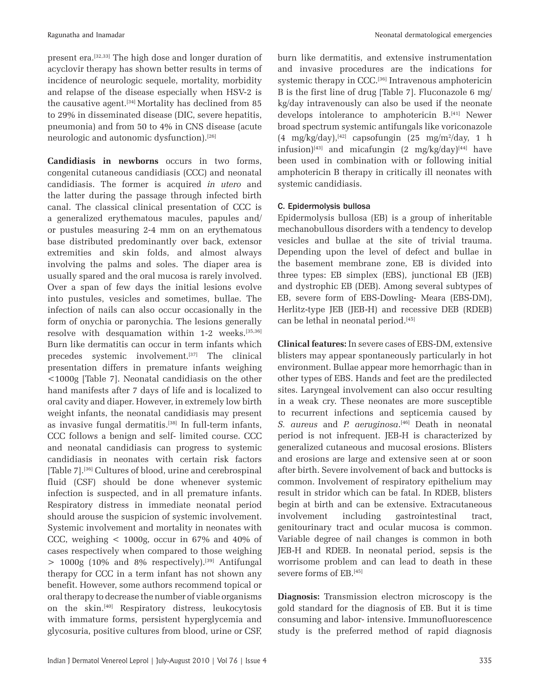present era.[32,33] The high dose and longer duration of acyclovir therapy has shown better results in terms of incidence of neurologic sequele, mortality, morbidity and relapse of the disease especially when HSV-2 is the causative agent.<sup>[34]</sup> Mortality has declined from  $85$ to 29% in disseminated disease (DIC, severe hepatitis, pneumonia) and from 50 to 4% in CNS disease (acute neurologic and autonomic dysfunction).[26]

**Candidiasis in newborns** occurs in two forms, congenital cutaneous candidiasis (CCC) and neonatal candidiasis. The former is acquired *in utero* and the latter during the passage through infected birth canal. The classical clinical presentation of CCC is a generalized erythematous macules, papules and/ or pustules measuring 2-4 mm on an erythematous base distributed predominantly over back, extensor extremities and skin folds, and almost always involving the palms and soles. The diaper area is usually spared and the oral mucosa is rarely involved. Over a span of few days the initial lesions evolve into pustules, vesicles and sometimes, bullae. The infection of nails can also occur occasionally in the form of onychia or paronychia. The lesions generally resolve with desquamation within 1-2 weeks.[35,36] Burn like dermatitis can occur in term infants which precedes systemic involvement.<sup>[37]</sup> The clinical presentation differs in premature infants weighing <1000g [Table 7]. Neonatal candidiasis on the other hand manifests after 7 days of life and is localized to oral cavity and diaper. However, in extremely low birth weight infants, the neonatal candidiasis may present as invasive fungal dermatitis.<sup>[38]</sup> In full-term infants, CCC follows a benign and self- limited course. CCC and neonatal candidiasis can progress to systemic candidiasis in neonates with certain risk factors [Table 7].<sup>[36]</sup> Cultures of blood, urine and cerebrospinal fluid (CSF) should be done whenever systemic infection is suspected, and in all premature infants. Respiratory distress in immediate neonatal period should arouse the suspicion of systemic involvement. Systemic involvement and mortality in neonates with CCC, weighing  $\lt$  1000g, occur in 67% and 40% of cases respectively when compared to those weighing  $> 1000g$  (10% and 8% respectively).<sup>[39]</sup> Antifungal therapy for CCC in a term infant has not shown any benefit. However, some authors recommend topical or oral therapy to decrease the number of viable organisms on the skin.[40] Respiratory distress, leukocytosis with immature forms, persistent hyperglycemia and glycosuria, positive cultures from blood, urine or CSF,

burn like dermatitis, and extensive instrumentation and invasive procedures are the indications for systemic therapy in CCC.<sup>[36]</sup> Intravenous amphotericin B is the first line of drug [Table 7]. Fluconazole 6 mg/ kg/day intravenously can also be used if the neonate develops intolerance to amphotericin B.<sup>[41]</sup> Newer broad spectrum systemic antifungals like voriconazole  $(4 \text{ mg/kg/day})$ ,<sup>[42]</sup> capsofungin  $(25 \text{ mg/m}^2/\text{day})$ , 1 h infusion)<sup>[43]</sup> and micafungin  $(2 \text{ mg/kg/day})$ <sup>[44]</sup> have been used in combination with or following initial amphotericin B therapy in critically ill neonates with systemic candidiasis.

# C. Epidermolysis bullosa

Epidermolysis bullosa (EB) is a group of inheritable mechanobullous disorders with a tendency to develop vesicles and bullae at the site of trivial trauma. Depending upon the level of defect and bullae in the basement membrane zone, EB is divided into three types: EB simplex (EBS), junctional EB (JEB) and dystrophic EB (DEB). Among several subtypes of EB, severe form of EBS-Dowling- Meara (EBS-DM), Herlitz-type JEB (JEB-H) and recessive DEB (RDEB) can be lethal in neonatal period.[45]

**Clinical features:** In severe cases of EBS-DM, extensive blisters may appear spontaneously particularly in hot environment. Bullae appear more hemorrhagic than in other types of EBS. Hands and feet are the predilected sites. Laryngeal involvement can also occur resulting in a weak cry. These neonates are more susceptible to recurrent infections and septicemia caused by *S. aureus* and *P. aeruginosa*. [46] Death in neonatal period is not infrequent. JEB-H is characterized by generalized cutaneous and mucosal erosions. Blisters and erosions are large and extensive seen at or soon after birth. Severe involvement of back and buttocks is common. Involvement of respiratory epithelium may result in stridor which can be fatal. In RDEB, blisters begin at birth and can be extensive. Extracutaneous involvement including gastrointestinal tract, genitourinary tract and ocular mucosa is common. Variable degree of nail changes is common in both JEB-H and RDEB. In neonatal period, sepsis is the worrisome problem and can lead to death in these severe forms of EB.<sup>[45]</sup>

**Diagnosis:** Transmission electron microscopy is the gold standard for the diagnosis of EB. But it is time consuming and labor- intensive. Immunofluorescence study is the preferred method of rapid diagnosis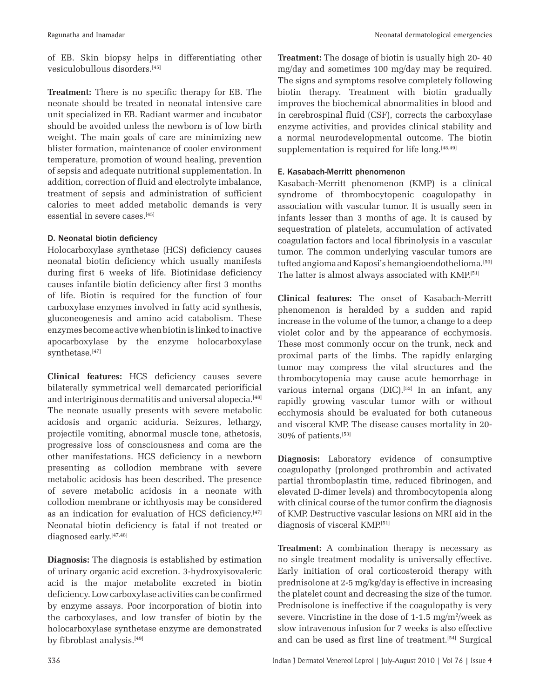of EB. Skin biopsy helps in differentiating other vesiculobullous disorders.[45]

**Treatment:** There is no specific therapy for EB. The neonate should be treated in neonatal intensive care unit specialized in EB. Radiant warmer and incubator should be avoided unless the newborn is of low birth weight. The main goals of care are minimizing new blister formation, maintenance of cooler environment temperature, promotion of wound healing, prevention of sepsis and adequate nutritional supplementation. In addition, correction of fluid and electrolyte imbalance, treatment of sepsis and administration of sufficient calories to meet added metabolic demands is very essential in severe cases.[45]

# D. Neonatal biotin deficiency

Holocarboxylase synthetase (HCS) deficiency causes neonatal biotin deficiency which usually manifests during first 6 weeks of life. Biotinidase deficiency causes infantile biotin deficiency after first 3 months of life. Biotin is required for the function of four carboxylase enzymes involved in fatty acid synthesis, gluconeogenesis and amino acid catabolism. These enzymes become active when biotin is linked to inactive apocarboxylase by the enzyme holocarboxylase synthetase.[47]

**Clinical features:** HCS deficiency causes severe bilaterally symmetrical well demarcated periorificial and intertriginous dermatitis and universal alopecia.<sup>[48]</sup> The neonate usually presents with severe metabolic acidosis and organic aciduria. Seizures, lethargy, projectile vomiting, abnormal muscle tone, athetosis, progressive loss of consciousness and coma are the other manifestations. HCS deficiency in a newborn presenting as collodion membrane with severe metabolic acidosis has been described. The presence of severe metabolic acidosis in a neonate with collodion membrane or ichthyosis may be considered as an indication for evaluation of HCS deficiency.<sup>[47]</sup> Neonatal biotin deficiency is fatal if not treated or diagnosed early.<sup>[47,48]</sup>

**Diagnosis:** The diagnosis is established by estimation of urinary organic acid excretion. 3-hydroxyisovaleric acid is the major metabolite excreted in biotin deficiency. Low carboxylase activities can be confirmed by enzyme assays. Poor incorporation of biotin into the carboxylases, and low transfer of biotin by the holocarboxylase synthetase enzyme are demonstrated by fibroblast analysis.[49]

**Treatment:** The dosage of biotin is usually high 20- 40 mg/day and sometimes 100 mg/day may be required. The signs and symptoms resolve completely following biotin therapy. Treatment with biotin gradually improves the biochemical abnormalities in blood and in cerebrospinal fluid (CSF), corrects the carboxylase enzyme activities, and provides clinical stability and a normal neurodevelopmental outcome. The biotin supplementation is required for life long. $[48,49]$ 

# E. Kasabach-Merritt phenomenon

Kasabach-Merritt phenomenon (KMP) is a clinical syndrome of thrombocytopenic coagulopathy in association with vascular tumor. It is usually seen in infants lesser than 3 months of age. It is caused by sequestration of platelets, accumulation of activated coagulation factors and local fibrinolysis in a vascular tumor. The common underlying vascular tumors are tufted angioma and Kaposi's hemangioendothelioma.<sup>[50]</sup> The latter is almost always associated with KMP.[51]

**Clinical features:** The onset of Kasabach-Merritt phenomenon is heralded by a sudden and rapid increase in the volume of the tumor, a change to a deep violet color and by the appearance of ecchymosis. These most commonly occur on the trunk, neck and proximal parts of the limbs. The rapidly enlarging tumor may compress the vital structures and the thrombocytopenia may cause acute hemorrhage in various internal organs  $(DIC).$ <sup>[52]</sup> In an infant, any rapidly growing vascular tumor with or without ecchymosis should be evaluated for both cutaneous and visceral KMP. The disease causes mortality in 20- 30% of patients.[53]

**Diagnosis:** Laboratory evidence of consumptive coagulopathy (prolonged prothrombin and activated partial thromboplastin time, reduced fibrinogen, and elevated D-dimer levels) and thrombocytopenia along with clinical course of the tumor confirm the diagnosis of KMP. Destructive vascular lesions on MRI aid in the diagnosis of visceral KMP.[51]

**Treatment:** A combination therapy is necessary as no single treatment modality is universally effective. Early initiation of oral corticosteroid therapy with prednisolone at 2-5 mg/kg/day is effective in increasing the platelet count and decreasing the size of the tumor. Prednisolone is ineffective if the coagulopathy is very severe. Vincristine in the dose of  $1-1.5$  mg/m<sup>2</sup>/week as slow intravenous infusion for 7 weeks is also effective and can be used as first line of treatment.[54] Surgical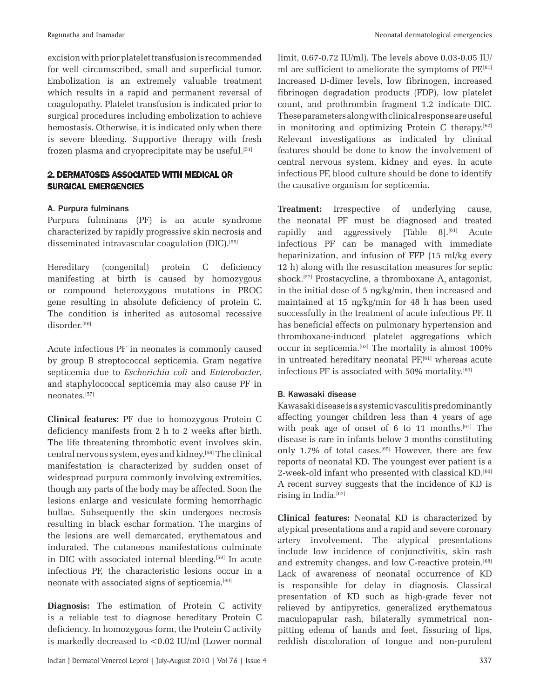excision with prior platelet transfusion is recommended for well circumscribed, small and superficial tumor. Embolization is an extremely valuable treatment which results in a rapid and permanent reversal of coagulopathy. Platelet transfusion is indicated prior to surgical procedures including embolization to achieve hemostasis. Otherwise, it is indicated only when there is severe bleeding. Supportive therapy with fresh frozen plasma and cryoprecipitate may be useful.[51]

# 2. DERMATOSES ASSOCIATED WITH MEDICAL OR SURGICAL EMERGENCIES

# A. Purpura fulminans

Purpura fulminans (PF) is an acute syndrome characterized by rapidly progressive skin necrosis and disseminated intravascular coagulation (DIC).[55]

Hereditary (congenital) protein C deficiency manifesting at birth is caused by homozygous or compound heterozygous mutations in PROC gene resulting in absolute deficiency of protein C. The condition is inherited as autosomal recessive disorder.[56]

Acute infectious PF in neonates is commonly caused by group B streptococcal septicemia. Gram negative septicemia due to *Escherichia coli* and *Enterobacter*, and staphylococcal septicemia may also cause PF in neonates.[57]

**Clinical features:** PF due to homozygous Protein C deficiency manifests from 2 h to 2 weeks after birth. The life threatening thrombotic event involves skin, central nervous system, eyes and kidney.[58] The clinical manifestation is characterized by sudden onset of widespread purpura commonly involving extremities, though any parts of the body may be affected. Soon the lesions enlarge and vesiculate forming hemorrhagic bullae. Subsequently the skin undergoes necrosis resulting in black eschar formation. The margins of the lesions are well demarcated, erythematous and indurated. The cutaneous manifestations culminate in DIC with associated internal bleeding.[59] In acute infectious PF, the characteristic lesions occur in a neonate with associated signs of septicemia.<sup>[60]</sup>

**Diagnosis:** The estimation of Protein C activity is a reliable test to diagnose hereditary Protein C deficiency. In homozygous form, the Protein C activity is markedly decreased to <0.02 IU/ml (Lower normal limit, 0.67-0.72 IU/ml). The levels above 0.03-0.05 IU/ ml are sufficient to ameliorate the symptoms of PF.[61] Increased D-dimer levels, low fibrinogen, increased fibrinogen degradation products (FDP), low platelet count, and prothrombin fragment 1.2 indicate DIC. These parameters along with clinical response are useful in monitoring and optimizing Protein C therapy.<sup>[62]</sup> Relevant investigations as indicated by clinical features should be done to know the involvement of central nervous system, kidney and eyes. In acute infectious PF, blood culture should be done to identify the causative organism for septicemia.

**Treatment:** Irrespective of underlying cause, the neonatal PF must be diagnosed and treated rapidly and aggressively [Table 8].<sup>[61]</sup> Acute infectious PF can be managed with immediate heparinization, and infusion of FFP (15 ml/kg every 12 h) along with the resuscitation measures for septic shock.<sup>[57]</sup> Prostacycline, a thromboxane  $A_2$  antagonist, in the initial dose of 5 ng/kg/min, then increased and maintained at 15 ng/kg/min for 48 h has been used successfully in the treatment of acute infectious PF. It has beneficial effects on pulmonary hypertension and thromboxane-induced platelet aggregations which occur in septicemia.[63] The mortality is almost 100% in untreated hereditary neonatal  $PF<sub>i</sub><sup>[61]</sup>$  whereas acute infectious PF is associated with 50% mortality.<sup>[60]</sup>

# B. Kawasaki disease

Kawasaki disease is a systemic vasculitis predominantly affecting younger children less than 4 years of age with peak age of onset of 6 to 11 months.<sup>[64]</sup> The disease is rare in infants below 3 months constituting only 1.7% of total cases.[65] However, there are few reports of neonatal KD. The youngest ever patient is a 2-week-old infant who presented with classical KD.[66] A recent survey suggests that the incidence of KD is rising in India.<sup>[67]</sup>

**Clinical features:** Neonatal KD is characterized by atypical presentations and a rapid and severe coronary artery involvement. The atypical presentations include low incidence of conjunctivitis, skin rash and extremity changes, and low C-reactive protein.[68] Lack of awareness of neonatal occurrence of KD is responsible for delay in diagnosis. Classical presentation of KD such as high-grade fever not relieved by antipyretics, generalized erythematous maculopapular rash, bilaterally symmetrical nonpitting edema of hands and feet, fissuring of lips, reddish discoloration of tongue and non-purulent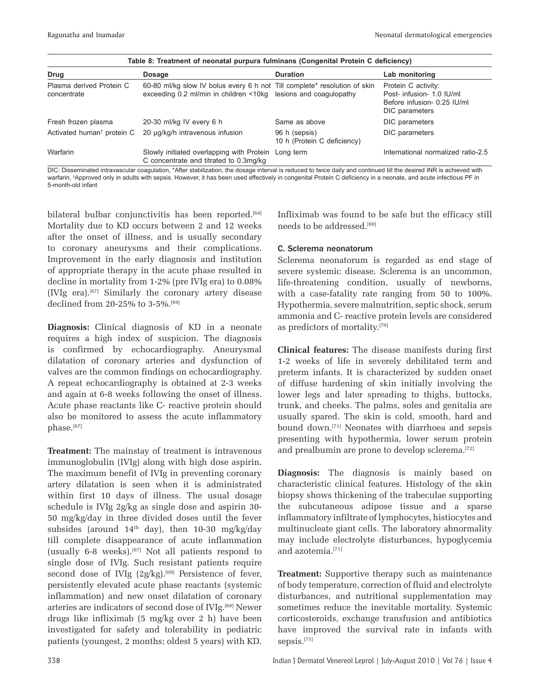| Table 8: Treatment of neonatal purpura fulminans (Congenital Protein C deficiency) |                                                                                                                                              |                                              |                                                                                                   |  |  |  |
|------------------------------------------------------------------------------------|----------------------------------------------------------------------------------------------------------------------------------------------|----------------------------------------------|---------------------------------------------------------------------------------------------------|--|--|--|
| Drug                                                                               | <b>Dosage</b>                                                                                                                                | <b>Duration</b>                              | Lab monitoring                                                                                    |  |  |  |
| Plasma derived Protein C<br>concentrate                                            | 60-80 ml/kg slow IV bolus every 6 h not Till complete* resolution of skin<br>exceeding 0.2 ml/min in children <10kg lesions and coagulopathy |                                              | Protein C activity:<br>Post- infusion- 1.0 IU/ml<br>Before infusion- 0.25 IU/ml<br>DIC parameters |  |  |  |
| Fresh frozen plasma                                                                | 20-30 ml/kg IV every 6 h                                                                                                                     | Same as above                                | DIC parameters                                                                                    |  |  |  |
| Activated human <sup>t</sup> protein C                                             | 20 µg/kg/h intravenous infusion                                                                                                              | 96 h (sepsis)<br>10 h (Protein C deficiency) | DIC parameters                                                                                    |  |  |  |
| Warfarin                                                                           | Slowly initiated overlapping with Protein<br>C concentrate and titrated to 0.3mg/kg                                                          | Long term                                    | International normalized ratio-2.5                                                                |  |  |  |
| --- --                                                                             |                                                                                                                                              |                                              |                                                                                                   |  |  |  |

DIC: Disseminated intravascular coagulation, \*After stabilization, the dosage interval is reduced to twice daily and continued till the desired INR is achieved with warfarin, † Approved only in adults with sepsis. However, it has been used effectively in congenital Protein C deficiency in a neonate, and acute infectious PF in 5-month-old infant

bilateral bulbar conjunctivitis has been reported.<sup>[64]</sup> Mortality due to KD occurs between 2 and 12 weeks after the onset of illness, and is usually secondary to coronary aneurysms and their complications. Improvement in the early diagnosis and institution of appropriate therapy in the acute phase resulted in decline in mortality from 1-2% (pre IVIg era) to 0.08% (IVIg era).[67] Similarly the coronary artery disease declined from 20-25% to 3-5%.[69]

**Diagnosis:** Clinical diagnosis of KD in a neonate requires a high index of suspicion. The diagnosis is confirmed by echocardiography. Aneurysmal dilatation of coronary arteries and dysfunction of valves are the common findings on echocardiography. A repeat echocardiography is obtained at 2-3 weeks and again at 6-8 weeks following the onset of illness. Acute phase reactants like C- reactive protein should also be monitored to assess the acute inflammatory phase.[67]

**Treatment:** The mainstay of treatment is intravenous immunoglobulin (IVIg) along with high dose aspirin. The maximum benefit of IVIg in preventing coronary artery dilatation is seen when it is administrated within first 10 days of illness. The usual dosage schedule is IVIg 2g/kg as single dose and aspirin 30- 50 mg/kg/day in three divided doses until the fever subsides (around  $14<sup>th</sup>$  day), then  $10-30$  mg/kg/day till complete disappearance of acute inflammation (usually 6-8 weeks).<sup>[67]</sup> Not all patients respond to single dose of IVIg. Such resistant patients require second dose of IVIg  $(2g/kg)$ .<sup>[69]</sup> Persistence of fever, persistently elevated acute phase reactants (systemic inflammation) and new onset dilatation of coronary arteries are indicators of second dose of IVIg.[68] Newer drugs like infliximab (5 mg/kg over 2 h) have been investigated for safety and tolerability in pediatric patients (youngest, 2 months; oldest 5 years) with KD.

Infliximab was found to be safe but the efficacy still needs to be addressed.[69]

# C. Sclerema neonatorum

Sclerema neonatorum is regarded as end stage of severe systemic disease. Sclerema is an uncommon, life-threatening condition, usually of newborns, with a case-fatality rate ranging from 50 to 100%. Hypothermia, severe malnutrition, septic shock, serum ammonia and C- reactive protein levels are considered as predictors of mortality.[70]

**Clinical features:** The disease manifests during first 1-2 weeks of life in severely debilitated term and preterm infants. It is characterized by sudden onset of diffuse hardening of skin initially involving the lower legs and later spreading to thighs, buttocks, trunk, and cheeks. The palms, soles and genitalia are usually spared. The skin is cold, smooth, hard and bound down.[71] Neonates with diarrhoea and sepsis presenting with hypothermia, lower serum protein and prealbumin are prone to develop sclerema.<sup>[72]</sup>

**Diagnosis:** The diagnosis is mainly based on characteristic clinical features. Histology of the skin biopsy shows thickening of the trabeculae supporting the subcutaneous adipose tissue and a sparse inflammatory infiltrate of lymphocytes, histiocytes and multinucleate giant cells. The laboratory abnormality may include electrolyte disturbances, hypoglycemia and azotemia.[71]

**Treatment:** Supportive therapy such as maintenance of body temperature, correction of fluid and electrolyte disturbances, and nutritional supplementation may sometimes reduce the inevitable mortality. Systemic corticosteroids, exchange transfusion and antibiotics have improved the survival rate in infants with sepsis.[71]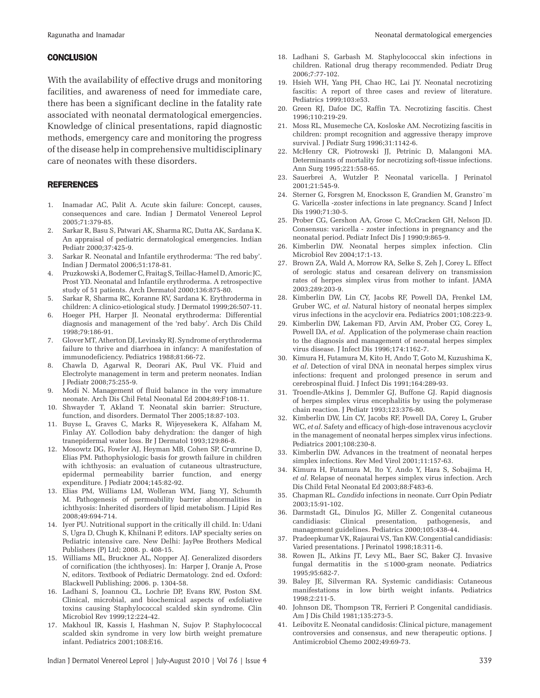#### **CONCLUSION**

With the availability of effective drugs and monitoring facilities, and awareness of need for immediate care, there has been a significant decline in the fatality rate associated with neonatal dermatological emergencies. Knowledge of clinical presentations, rapid diagnostic methods, emergency care and monitoring the progress of the disease help in comprehensive multidisciplinary care of neonates with these disorders.

#### REFERENCES

- 1. Inamadar AC, Palit A. Acute skin failure: Concept, causes, consequences and care. Indian J Dermatol Venereol Leprol 2005;71:379-85.
- 2. Sarkar R, Basu S, Patwari AK, Sharma RC, Dutta AK, Sardana K. An appraisal of pediatric dermatological emergencies. Indian Pediatr 2000;37:425-9.
- 3. Sarkar R. Neonatal and Infantile erythroderma: 'The red baby'. Indian J Dermatol 2006;51:178-81.
- 4. Pruzkowski A, Bodemer C, Fraitag S, Teillac-Hamel D, Amoric JC, Prost YD. Neonatal and Infantile erythroderma. A retrospective study of 51 patients. Arch Dermatol 2000;136:875-80.
- 5. Sarkar R, Sharma RC, Koranne RV, Sardana K. Erythroderma in children: A clinico-etiological study. J Dermatol 1999;26:507-11.
- 6. Hoeger PH, Harper JI. Neonatal erythroderma: Differential diagnosis and management of the 'red baby'. Arch Dis Child 1998;79:186-91.
- 7. Glover MT, Atherton DJ, Levinsky RJ. Syndrome of erythroderma failure to thrive and diarrhoea in infancy: A manifestation of immunodeficiency. Pediatrics 1988;81:66-72.
- 8. Chawla D, Agarwal R, Deorari AK, Paul VK. Fluid and Electrolyte management in term and preterm neonates. Indian J Pediatr 2008;75:255-9.
- 9. Modi N. Management of fluid balance in the very immature neonate. Arch Dis Chil Fetal Neonatal Ed 2004;89:F108-11.
- 10. Shwayder T, Akland T. Neonatal skin barrier: Structure, function, and disorders. Dermatol Ther 2005;18:87-103.
- 11. Buyse L, Graves C, Marks R, Wijeyesekera K, Alfaham M, Finlay AY. Collodion baby dehydration: the danger of high tranepidermal water loss. Br J Dermatol 1993;129:86-8.
- 12. Mosowtz DG, Fowler AJ, Heyman MB, Cohen SP, Crumrine D, Elias PM. Pathophysiologic basis for growth failure in children with ichthyosis: an evaluation of cutaneous ultrastructure, epidermal permeability barrier function, and energy expenditure. J Pediatr 2004;145:82-92.
- 13. Elias PM, Williams LM, Wolleran WM, Jiang YJ, Schumth M. Pathogenesis of permeability barrier abnormalities in ichthyosis: Inherited disorders of lipid metabolism. J Lipid Res 2008;49:694-714.
- 14. Iyer PU. Nutritional support in the critically ill child. In: Udani S, Ugra D, Chugh K, Khilnani P, editors. IAP specialty series on Pediatric intensive care. New Delhi: JayPee Brothers Medical Publishers (P) Ltd; 2008. p. 408-15.
- 15. Williams ML, Bruckner AL, Nopper AJ. Generalized disorders of cornification (the ichthyoses). In: Harper J, Oranje A, Prose N, editors. Textbook of Pediatric Dermatology. 2nd ed. Oxford: Blackwell Publishing; 2006. p. 1304-58.
- 16. Ladhani S, Joannou CL, Lochrie DP, Evans RW, Poston SM. Clinical, microbial, and biochemical aspects of exfoliative toxins causing Staphylococcal scalded skin syndrome. Clin Microbiol Rev 1999;12:224-42.
- 17. Makhoul IR, Kassis I, Hashman N, Sujov P. Staphylococcal scalded skin syndrome in very low birth weight premature infant. Pediatrics 2001;108:E16.
- 18. Ladhani S, Garbash M. Staphylococcal skin infections in children. Rational drug therapy recommended. Pediatr Drug 2006;7:77-102.
- 19. Hsieh WH, Yang PH, Chao HC, Lai JY. Neonatal necrotizing fascitis: A report of three cases and review of literature. Pediatrics 1999;103:e53.
- 20. Green RJ, Dafoe DC, Raffin TA. Necrotizing fascitis. Chest 1996;110:219-29.
- 21. Moss RL, Musemeche CA, Kosloske AM. Necrotizing fascitis in children: prompt recognition and aggressive therapy improve survival. J Pediatr Surg 1996;31:1142-6.
- 22. McHenry CR, Piotrowski JJ, Petrinic D, Malangoni MA. Determinants of mortality for necrotizing soft-tissue infections. Ann Surg 1995;221:558-65.
- 23. Sauerbrei A, Wutzler P. Neonatal varicella. J Perinatol 2001;21:545-9.
- 24. Sterner G, Forsgren M, Enocksson E, Grandien M, Granstro¨m G. Varicella -zoster infections in late pregnancy. Scand J Infect Dis 1990;71:30-5.
- 25. Prober CG, Gershon AA, Grose C, McCracken GH, Nelson JD. Consensus: varicella - zoster infections in pregnancy and the neonatal period. Pediatr Infect Dis J 1990;9:865-9.
- 26. Kimberlin DW. Neonatal herpes simplex infection. Clin Microbiol Rev 2004;17:1-13.
- 27. Brown ZA, Wald A, Morrow RA, Selke S, Zeh J, Corey L. Effect of serologic status and cesarean delivery on transmission rates of herpes simplex virus from mother to infant. JAMA 2003;289:203-9.
- 28. Kimberlin DW, Lin CY, Jacobs RF, Powell DA, Frenkel LM, Gruber WC, *et al*. Natural history of neonatal herpes simplex virus infections in the acyclovir era. Pediatrics 2001;108:223-9.
- 29. Kimberlin DW, Lakeman FD, Arvin AM, Prober CG, Corey L, Powell DA, *et al*. Application of the polymerase chain reaction to the diagnosis and management of neonatal herpes simplex virus disease. J Infect Dis 1996;174:1162-7.
- 30. Kimura H, Futamura M, Kito H, Ando T, Goto M, Kuzushima K, *et al*. Detection of viral DNA in neonatal herpes simplex virus infections: frequent and prolonged presence in serum and cerebrospinal fluid. J Infect Dis 1991;164:289-93.
- 31. Troendle-Atkins J, Demmler GJ, Buffone GJ. Rapid diagnosis of herpes simplex virus encephalitis by using the polymerase chain reaction. J Pediatr 1993;123:376-80.
- 32. Kimberlin DW, Lin CY, Jacobs RF, Powell DA, Corey L, Gruber WC, *et al*. Safety and efficacy of high-dose intravenous acyclovir in the management of neonatal herpes simplex virus infections. Pediatrics 2001;108:230-8.
- 33. Kimberlin DW. Advances in the treatment of neonatal herpes simplex infections. Rev Med Virol 2001;11:157-63.
- 34. Kimura H, Futamura M, Ito Y, Ando Y, Hara S, Sobajima H, *et al*. Relapse of neonatal herpes simplex virus infection. Arch Dis Child Fetal Neonatal Ed 2003;88:F483-6.
- 35. Chapman RL. *Candida* infections in neonate. Curr Opin Pediatr 2003;15:91-102.
- 36. Darmstadt GL, Dinulos JG, Miller Z. Congenital cutaneous candidiasis: Clinical presentation, pathogenesis, and management guidelines. Pediatrics 2000;105:438-44.
- 37. Pradeepkumar VK, Rajaurai VS, Tan KW. Congential candidiasis: Varied presentations. J Perinatol 1998;18:311-6.
- 38. Rowen JL, Atkins JT, Levy ML, Baer SC, Baker CJ. Invasive fungal dermatitis in the ≤1000-gram neonate. Pediatrics 1995;95:682-7.
- 39. Baley JE, Silverman RA. Systemic candidiasis: Cutaneous manifestations in low birth weight infants. Pediatrics 1998;2:211-5.
- 40. Johnson DE, Thompson TR, Ferrieri P. Congenital candidiasis. Am J Dis Child 1981;135:273-5.
- 41. Leibovitz E. Neonatal candidosis: Clinical picture, management controversies and consensus, and new therapeutic options. J Antimicrobiol Chemo 2002;49:69-73.